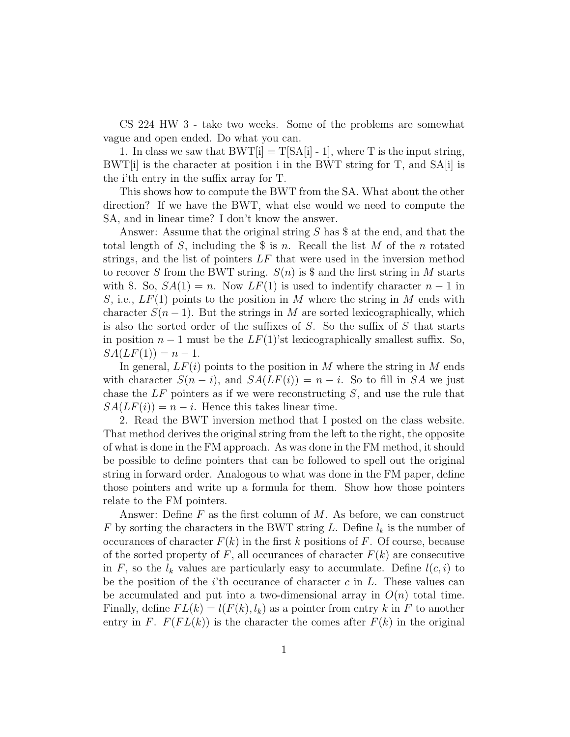CS 224 HW 3 - take two weeks. Some of the problems are somewhat vague and open ended. Do what you can.

1. In class we saw that  $BWT[i] = T[SA[i] - 1]$ , where T is the input string,  $BWT[i]$  is the character at position i in the BWT string for T, and  $SA[i]$  is the i'th entry in the suffix array for T.

This shows how to compute the BWT from the SA. What about the other direction? If we have the BWT, what else would we need to compute the SA, and in linear time? I don't know the answer.

Answer: Assume that the original string S has \$ at the end, and that the total length of S, including the  $\frac{1}{2}$  is n. Recall the list M of the n rotated strings, and the list of pointers  $LF$  that were used in the inversion method to recover S from the BWT string.  $S(n)$  is \$ and the first string in M starts with \$. So,  $SA(1) = n$ . Now  $LF(1)$  is used to indentify character  $n-1$  in S, i.e.,  $LF(1)$  points to the position in M where the string in M ends with character  $S(n-1)$ . But the strings in M are sorted lexicographically, which is also the sorted order of the suffixes of S. So the suffix of S that starts in position  $n-1$  must be the  $LF(1)$ 'st lexicographically smallest suffix. So,  $SA(LF(1)) = n - 1.$ 

In general,  $LF(i)$  points to the position in M where the string in M ends with character  $S(n-i)$ , and  $SA(LF(i)) = n-i$ . So to fill in SA we just chase the  $LF$  pointers as if we were reconstructing  $S$ , and use the rule that  $SA(LF(i)) = n - i$ . Hence this takes linear time.

2. Read the BWT inversion method that I posted on the class website. That method derives the original string from the left to the right, the opposite of what is done in the FM approach. As was done in the FM method, it should be possible to define pointers that can be followed to spell out the original string in forward order. Analogous to what was done in the FM paper, define those pointers and write up a formula for them. Show how those pointers relate to the FM pointers.

Answer: Define  $F$  as the first column of  $M$ . As before, we can construct F by sorting the characters in the BWT string L. Define  $l_k$  is the number of occurances of character  $F(k)$  in the first k positions of F. Of course, because of the sorted property of  $F$ , all occurances of character  $F(k)$  are consecutive in F, so the  $l_k$  values are particularly easy to accumulate. Define  $l(c, i)$  to be the position of the  $i$ 'th occurance of character c in L. These values can be accumulated and put into a two-dimensional array in  $O(n)$  total time. Finally, define  $FL(k) = l(F(k), l_k)$  as a pointer from entry k in F to another entry in F.  $F(FL(k))$  is the character the comes after  $F(k)$  in the original